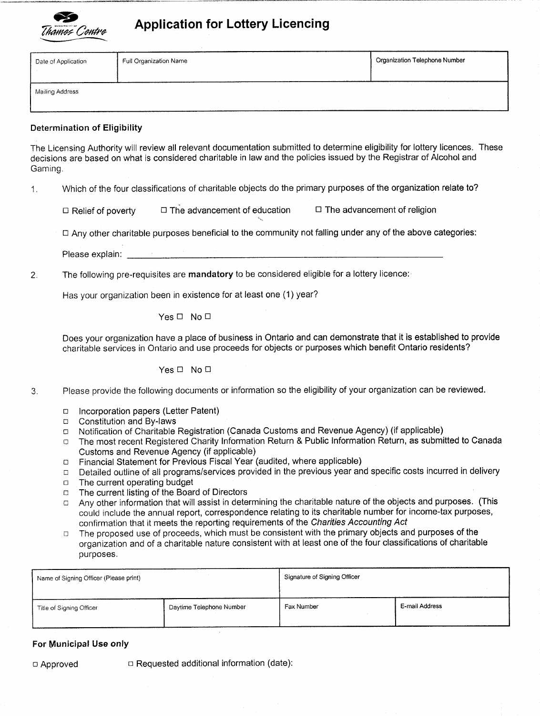

# Application for Lottery Licencing

| Date of Application | Full Organization Name | <b>Organization Telephone Number</b> |
|---------------------|------------------------|--------------------------------------|
| Mailing Address     |                        |                                      |

## Determination of Eligibility

The Licensing Authority will review all relevant documentation submitted to determine eligibility for lottery licences These decisions are based on what is considered charitable in law and the policies issued by the Registrar of Alcohol and Gaming

1. Which of the four classifications of charitable objects do the primary purposes of the organization relate to?

 $\Box$  Relief of poverty  $\Box$  The advancement of education  $\Box$  The advancement of religion

Any other charitable purposes beneficial to the community not falling under any of the above categories

Please explain: The contract of the contract of the contract of the contract of the contract of the contract of the contract of the contract of the contract of the contract of the contract of the contract of the contract o

2. The following pre-requisites are mandatory to be considered eligible for a lottery licence:

Has your organization been in existence for at least one (1) year?

Yes  $\Box$  No  $\Box$ 

Does your organization have a place of business in Ontario and can demonstrate that it is established to provide charitable services in Ontario and use proceeds for objects or purposes which benefit Ontario residents

Yes <sup>D</sup> No D

- 3 Please provide the following documents or information so the eligibility of your organization can be reviewed
	- Incorporation papers (Letter Patent)  $\Box$
	- Constitution and Bylaws
	- □ Notification of Charitable Registration (Canada Customs and Revenue Agency) (if applicable)
	- □ The most recent Registered Charity Information Return & Public Information Return, as submitted to Canada Customs and Revenue Agency (if applicable)
	- Financial Statement for Previous Fiscal Year (audited, where applicable)  $\Box$
	- Detailed outline of all programs/services provided in the previous year and specific costs incurred in delivery  $\Box$
	- The current operating budget  $\Box$
	- The current listing of the Board of Directors  $\Box$
	- Any other information that will assist in determining the charitable nature of the objects and purposes. (This  $\Box$ could include the annual report, correspondence relating to its charitable number for income-tax purposes, confirmation that it meets the reporting requirements of the Charities Accounting Act
	- The proposed use of proceeds, which must be consistent with the primary objects and purposes of the  $\Box$ organization and of a charitable nature consistent with at least one of the four classifications of charitable purposes

| Name of Signing Officer (Please print) |                          | Signature of Signing Officer |                |  |
|----------------------------------------|--------------------------|------------------------------|----------------|--|
| Title of Signing Officer               | Daytime Telephone Number | Fax Number                   | E-mail Address |  |

### For Municipal Use only

□ Approved □ Requested additional information (date):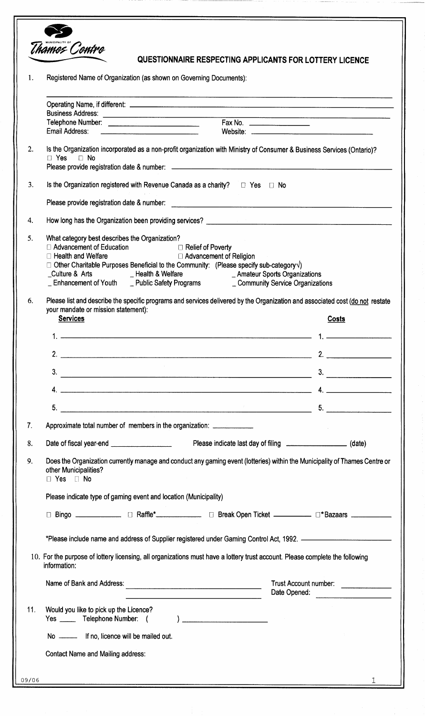| Registered Name of Organization (as shown on Governing Documents):                                                                                                                                                                                                                                                                                                                                                                                                              |  |  |  |
|---------------------------------------------------------------------------------------------------------------------------------------------------------------------------------------------------------------------------------------------------------------------------------------------------------------------------------------------------------------------------------------------------------------------------------------------------------------------------------|--|--|--|
|                                                                                                                                                                                                                                                                                                                                                                                                                                                                                 |  |  |  |
| Email Address: 2008. And Denver and Denver and Denver and Denver and Denver and Denver and Denver and Denver and Denver and Denver and Denver and Denver and Denver and Denver and Denver and Denver and Denver and Denver and                                                                                                                                                                                                                                                  |  |  |  |
| Is the Organization incorporated as a non-profit organization with Ministry of Consumer & Business Services (Ontario)?<br>$\Box$ Yes $\Box$ No                                                                                                                                                                                                                                                                                                                                  |  |  |  |
| Is the Organization registered with Revenue Canada as a charity? $\square$ Yes $\square$ No                                                                                                                                                                                                                                                                                                                                                                                     |  |  |  |
|                                                                                                                                                                                                                                                                                                                                                                                                                                                                                 |  |  |  |
|                                                                                                                                                                                                                                                                                                                                                                                                                                                                                 |  |  |  |
| What category best describes the Organization?<br>$\Box$ Advancement of Education $\Box$ Relief of Poverty<br>$\Box$ Health and Welfare<br>□ Advancement of Religion<br>$\Box$ Other Charitable Purposes Beneficial to the Community: (Please specify sub-category $\sqrt{ }$ )<br>_Culture & Arts ____________Health & Welfare ______________________Amateur Sports Organizations<br>_ Enhancement of Youth __ Public Safety Programs ________ Community Service Organizations |  |  |  |
| Please list and describe the specific programs and services delivered by the Organization and associated cost (do not restate<br>your mandate or mission statement):<br><b>Services</b><br>Costs                                                                                                                                                                                                                                                                                |  |  |  |
|                                                                                                                                                                                                                                                                                                                                                                                                                                                                                 |  |  |  |
| 2. $\qquad$                                                                                                                                                                                                                                                                                                                                                                                                                                                                     |  |  |  |
| 3.<br>3.                                                                                                                                                                                                                                                                                                                                                                                                                                                                        |  |  |  |
| 4. $\overline{\phantom{a}}$                                                                                                                                                                                                                                                                                                                                                                                                                                                     |  |  |  |
| $5.$ $5.$                                                                                                                                                                                                                                                                                                                                                                                                                                                                       |  |  |  |
| Approximate total number of members in the organization:                                                                                                                                                                                                                                                                                                                                                                                                                        |  |  |  |
| Please indicate last day of filing _____________________________ (date)                                                                                                                                                                                                                                                                                                                                                                                                         |  |  |  |
| Does the Organization currently manage and conduct any gaming event (lotteries) within the Municipality of Thames Centre or<br>other Municipalities?<br>$\square$ Yes $\square$ No                                                                                                                                                                                                                                                                                              |  |  |  |
| Please indicate type of gaming event and location (Municipality)                                                                                                                                                                                                                                                                                                                                                                                                                |  |  |  |
| □ Bingo ______________ □ Raffle*_____________ □ Break Open Ticket __________ □*Bazaars ___________                                                                                                                                                                                                                                                                                                                                                                              |  |  |  |
| *Please include name and address of Supplier registered under Gaming Control Act, 1992. ————————————————————                                                                                                                                                                                                                                                                                                                                                                    |  |  |  |
| 10. For the purpose of lottery licensing, all organizations must have a lottery trust account. Please complete the following<br>information:                                                                                                                                                                                                                                                                                                                                    |  |  |  |
| Name of Bank and Address:<br>Trust Account number:<br>a se a componente de contrar el componente de la contrar el componente de la componente de la componente de la<br>Date Opened:                                                                                                                                                                                                                                                                                            |  |  |  |
| Would you like to pick up the Licence?<br>Yes ______ Telephone Number: (<br>) and the set of the set of the set of the set of the set of the set of the set of the set of the set of the set of the set of the set of the set of the set of the set of the set of the set of the set of the set of the se                                                                                                                                                                       |  |  |  |
| No ___________ If no, licence will be mailed out.                                                                                                                                                                                                                                                                                                                                                                                                                               |  |  |  |